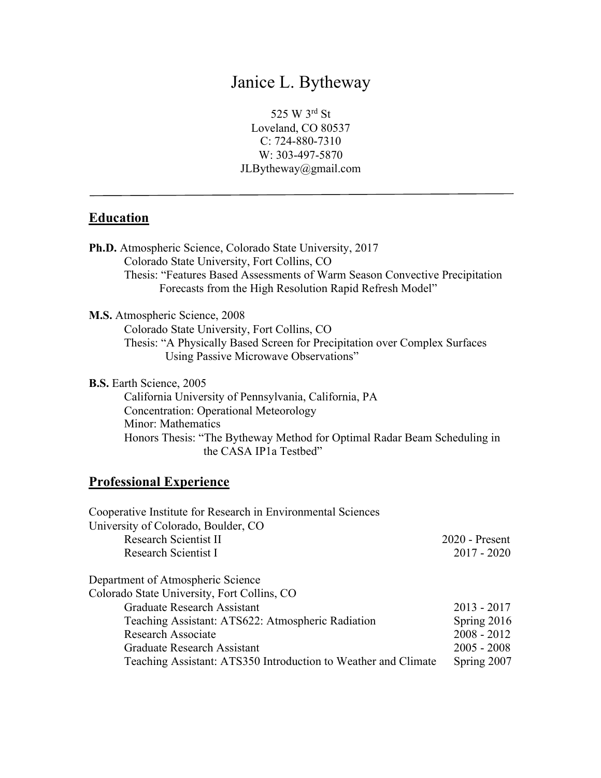# Janice L. Bytheway

525 W 3rd St Loveland, CO 80537 C: 724-880-7310 W: 303-497-5870 JLBytheway@gmail.com

# **Education**

| Ph.D. Atmospheric Science, Colorado State University, 2017                  |
|-----------------------------------------------------------------------------|
| Colorado State University, Fort Collins, CO                                 |
| Thesis: "Features Based Assessments of Warm Season Convective Precipitation |
| Forecasts from the High Resolution Rapid Refresh Model"                     |
| <b>M.S.</b> Atmospheric Science, 2008                                       |
| Colorado State University, Fort Collins, CO                                 |
| Thesis: "A Physically Based Screen for Precipitation over Complex Surfaces  |
| Using Passive Microwave Observations"                                       |
| <b>B.S.</b> Earth Science, 2005                                             |
| California University of Pennsylvania, California, PA                       |
| <b>Concentration: Operational Meteorology</b>                               |
| Minor: Mathematics                                                          |
| Honors Thesis: "The Bytheway Method for Optimal Radar Beam Scheduling in    |
| the CASA IP1a Testbed"                                                      |
|                                                                             |

# **Professional Experience**

| $2020$ - Present                                                              |
|-------------------------------------------------------------------------------|
| $2017 - 2020$                                                                 |
|                                                                               |
|                                                                               |
| $2013 - 2017$                                                                 |
| Spring 2016                                                                   |
| $2008 - 2012$                                                                 |
| $2005 - 2008$                                                                 |
| Teaching Assistant: ATS350 Introduction to Weather and Climate<br>Spring 2007 |
|                                                                               |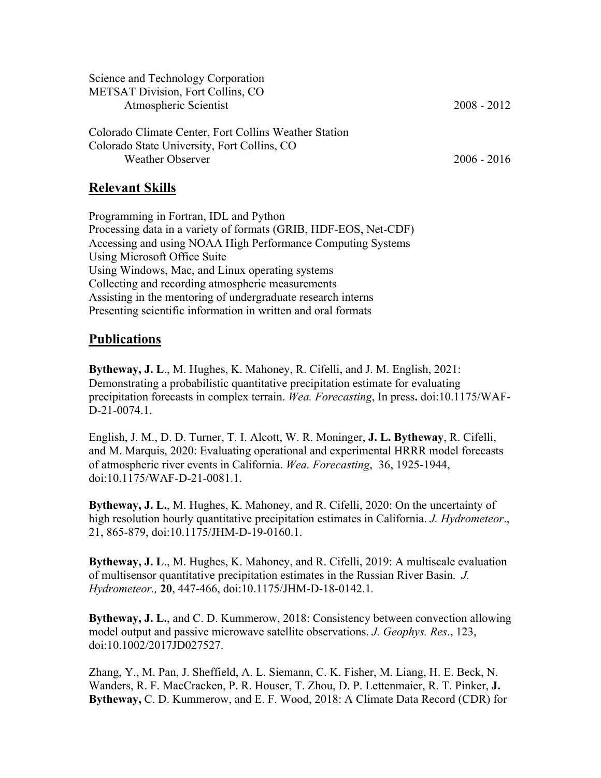| Science and Technology Corporation                    |               |
|-------------------------------------------------------|---------------|
| <b>METSAT Division, Fort Collins, CO</b>              |               |
| Atmospheric Scientist                                 | $2008 - 2012$ |
| Colorado Climate Center, Fort Collins Weather Station |               |
| Colorado State University, Fort Collins, CO           |               |
| Weather Observer                                      | $2006 - 2016$ |

#### **Relevant Skills**

Programming in Fortran, IDL and Python Processing data in a variety of formats (GRIB, HDF-EOS, Net-CDF) Accessing and using NOAA High Performance Computing Systems Using Microsoft Office Suite Using Windows, Mac, and Linux operating systems Collecting and recording atmospheric measurements Assisting in the mentoring of undergraduate research interns Presenting scientific information in written and oral formats

#### **Publications**

**Bytheway, J. L**., M. Hughes, K. Mahoney, R. Cifelli, and J. M. English, 2021: Demonstrating a probabilistic quantitative precipitation estimate for evaluating precipitation forecasts in complex terrain. *Wea. Forecasting*, In press**.** doi:10.1175/WAF-D-21-0074.1.

English, J. M., D. D. Turner, T. I. Alcott, W. R. Moninger, **J. L. Bytheway**, R. Cifelli, and M. Marquis, 2020: Evaluating operational and experimental HRRR model forecasts of atmospheric river events in California. *Wea. Forecasting*, 36, 1925-1944, doi:10.1175/WAF-D-21-0081.1.

**Bytheway, J. L.**, M. Hughes, K. Mahoney, and R. Cifelli, 2020: On the uncertainty of high resolution hourly quantitative precipitation estimates in California. *J. Hydrometeor*., 21, 865-879, doi:10.1175/JHM-D-19-0160.1.

**Bytheway, J. L**., M. Hughes, K. Mahoney, and R. Cifelli, 2019: A multiscale evaluation of multisensor quantitative precipitation estimates in the Russian River Basin. *J. Hydrometeor.,* **20**, 447-466, doi:10.1175/JHM-D-18-0142.1*.*

**Bytheway, J. L.**, and C. D. Kummerow, 2018: Consistency between convection allowing model output and passive microwave satellite observations. *J. Geophys. Res*., 123, doi:10.1002/2017JD027527.

Zhang, Y., M. Pan, J. Sheffield, A. L. Siemann, C. K. Fisher, M. Liang, H. E. Beck, N. Wanders, R. F. MacCracken, P. R. Houser, T. Zhou, D. P. Lettenmaier, R. T. Pinker, **J. Bytheway,** C. D. Kummerow, and E. F. Wood, 2018: A Climate Data Record (CDR) for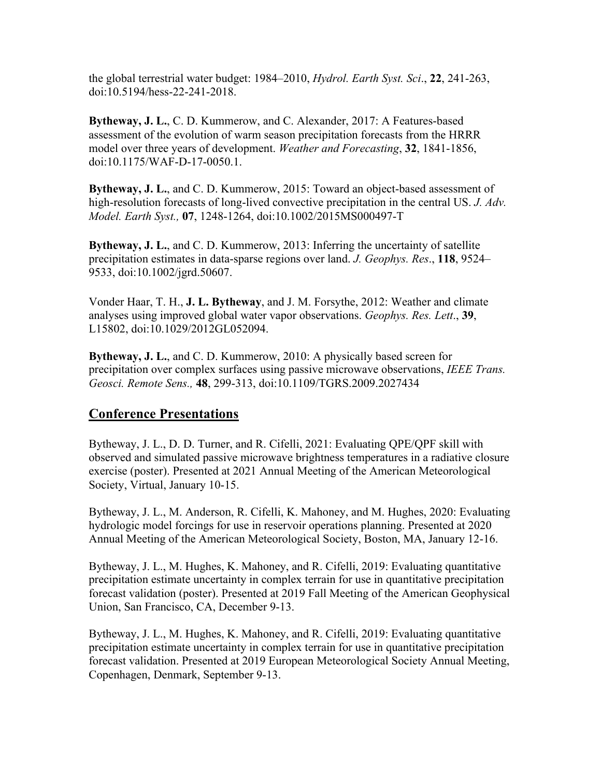the global terrestrial water budget: 1984–2010, *Hydrol. Earth Syst. Sci*., **22**, 241-263, doi:10.5194/hess-22-241-2018.

**Bytheway, J. L.**, C. D. Kummerow, and C. Alexander, 2017: A Features-based assessment of the evolution of warm season precipitation forecasts from the HRRR model over three years of development. *Weather and Forecasting*, **32**, 1841-1856, doi:10.1175/WAF-D-17-0050.1.

**Bytheway, J. L.**, and C. D. Kummerow, 2015: Toward an object-based assessment of high-resolution forecasts of long-lived convective precipitation in the central US. *J. Adv. Model. Earth Syst.,* **07**, 1248-1264, doi:10.1002/2015MS000497-T

**Bytheway, J. L.**, and C. D. Kummerow, 2013: Inferring the uncertainty of satellite precipitation estimates in data-sparse regions over land. *J. Geophys. Res*., **118**, 9524– 9533, doi:10.1002/jgrd.50607.

Vonder Haar, T. H., **J. L. Bytheway**, and J. M. Forsythe, 2012: Weather and climate analyses using improved global water vapor observations. *Geophys. Res. Lett*., **39**, L15802, doi:10.1029/2012GL052094.

**Bytheway, J. L.**, and C. D. Kummerow, 2010: A physically based screen for precipitation over complex surfaces using passive microwave observations, *IEEE Trans. Geosci. Remote Sens.,* **48**, 299-313, doi:10.1109/TGRS.2009.2027434

#### **Conference Presentations**

Bytheway, J. L., D. D. Turner, and R. Cifelli, 2021: Evaluating QPE/QPF skill with observed and simulated passive microwave brightness temperatures in a radiative closure exercise (poster). Presented at 2021 Annual Meeting of the American Meteorological Society, Virtual, January 10-15.

Bytheway, J. L., M. Anderson, R. Cifelli, K. Mahoney, and M. Hughes, 2020: Evaluating hydrologic model forcings for use in reservoir operations planning. Presented at 2020 Annual Meeting of the American Meteorological Society, Boston, MA, January 12-16.

Bytheway, J. L., M. Hughes, K. Mahoney, and R. Cifelli, 2019: Evaluating quantitative precipitation estimate uncertainty in complex terrain for use in quantitative precipitation forecast validation (poster). Presented at 2019 Fall Meeting of the American Geophysical Union, San Francisco, CA, December 9-13.

Bytheway, J. L., M. Hughes, K. Mahoney, and R. Cifelli, 2019: Evaluating quantitative precipitation estimate uncertainty in complex terrain for use in quantitative precipitation forecast validation. Presented at 2019 European Meteorological Society Annual Meeting, Copenhagen, Denmark, September 9-13.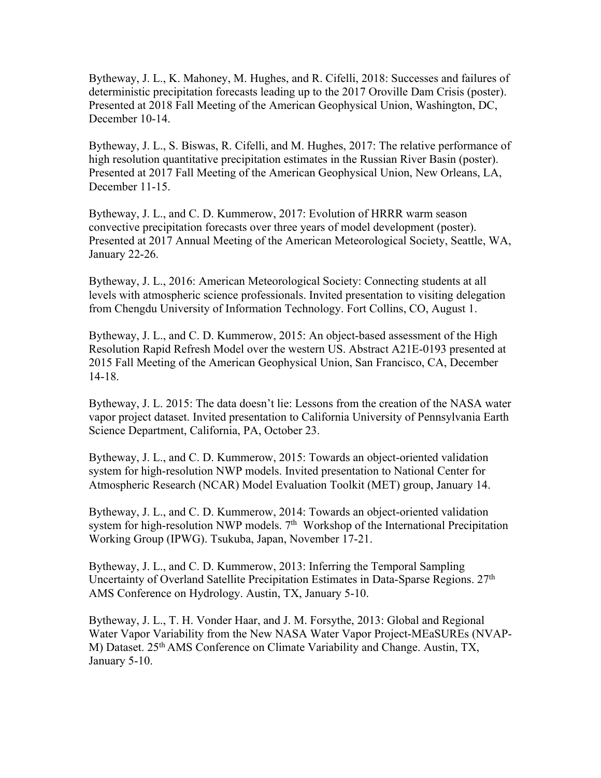Bytheway, J. L., K. Mahoney, M. Hughes, and R. Cifelli, 2018: Successes and failures of deterministic precipitation forecasts leading up to the 2017 Oroville Dam Crisis (poster). Presented at 2018 Fall Meeting of the American Geophysical Union, Washington, DC, December 10-14.

Bytheway, J. L., S. Biswas, R. Cifelli, and M. Hughes, 2017: The relative performance of high resolution quantitative precipitation estimates in the Russian River Basin (poster). Presented at 2017 Fall Meeting of the American Geophysical Union, New Orleans, LA, December 11-15.

Bytheway, J. L., and C. D. Kummerow, 2017: Evolution of HRRR warm season convective precipitation forecasts over three years of model development (poster). Presented at 2017 Annual Meeting of the American Meteorological Society, Seattle, WA, January 22-26.

Bytheway, J. L., 2016: American Meteorological Society: Connecting students at all levels with atmospheric science professionals. Invited presentation to visiting delegation from Chengdu University of Information Technology. Fort Collins, CO, August 1.

Bytheway, J. L., and C. D. Kummerow, 2015: An object-based assessment of the High Resolution Rapid Refresh Model over the western US. Abstract A21E-0193 presented at 2015 Fall Meeting of the American Geophysical Union, San Francisco, CA, December 14-18.

Bytheway, J. L. 2015: The data doesn't lie: Lessons from the creation of the NASA water vapor project dataset. Invited presentation to California University of Pennsylvania Earth Science Department, California, PA, October 23.

Bytheway, J. L., and C. D. Kummerow, 2015: Towards an object-oriented validation system for high-resolution NWP models. Invited presentation to National Center for Atmospheric Research (NCAR) Model Evaluation Toolkit (MET) group, January 14.

Bytheway, J. L., and C. D. Kummerow, 2014: Towards an object-oriented validation system for high-resolution NWP models. 7<sup>th</sup> Workshop of the International Precipitation Working Group (IPWG). Tsukuba, Japan, November 17-21.

Bytheway, J. L., and C. D. Kummerow, 2013: Inferring the Temporal Sampling Uncertainty of Overland Satellite Precipitation Estimates in Data-Sparse Regions. 27<sup>th</sup> AMS Conference on Hydrology. Austin, TX, January 5-10.

Bytheway, J. L., T. H. Vonder Haar, and J. M. Forsythe, 2013: Global and Regional Water Vapor Variability from the New NASA Water Vapor Project-MEaSUREs (NVAP-M) Dataset. 25th AMS Conference on Climate Variability and Change. Austin, TX, January 5-10.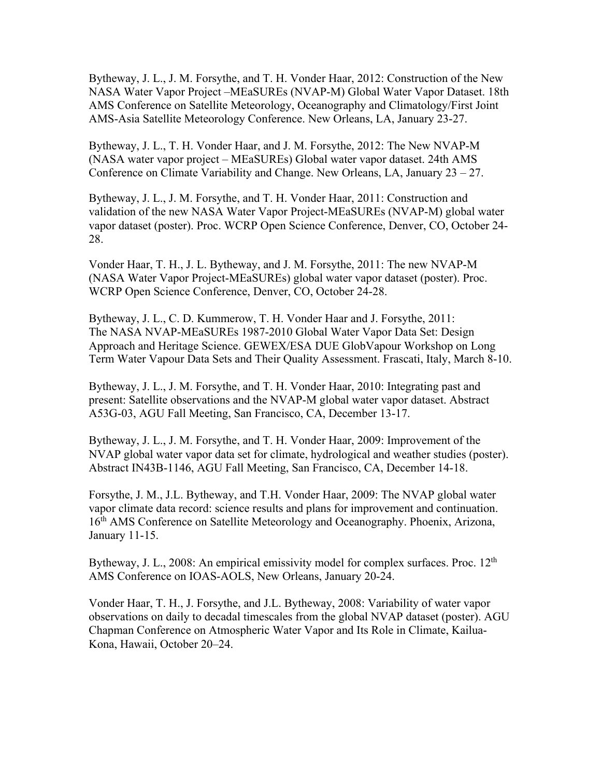Bytheway, J. L., J. M. Forsythe, and T. H. Vonder Haar, 2012: Construction of the New NASA Water Vapor Project –MEaSUREs (NVAP-M) Global Water Vapor Dataset. 18th AMS Conference on Satellite Meteorology, Oceanography and Climatology/First Joint AMS-Asia Satellite Meteorology Conference. New Orleans, LA, January 23-27.

Bytheway, J. L., T. H. Vonder Haar, and J. M. Forsythe, 2012: The New NVAP-M (NASA water vapor project – MEaSUREs) Global water vapor dataset. 24th AMS Conference on Climate Variability and Change. New Orleans, LA, January 23 – 27.

Bytheway, J. L., J. M. Forsythe, and T. H. Vonder Haar, 2011: Construction and validation of the new NASA Water Vapor Project-MEaSUREs (NVAP-M) global water vapor dataset (poster). Proc. WCRP Open Science Conference, Denver, CO, October 24- 28.

Vonder Haar, T. H., J. L. Bytheway, and J. M. Forsythe, 2011: The new NVAP-M (NASA Water Vapor Project-MEaSUREs) global water vapor dataset (poster). Proc. WCRP Open Science Conference, Denver, CO, October 24-28.

Bytheway, J. L., C. D. Kummerow, T. H. Vonder Haar and J. Forsythe, 2011: The NASA NVAP-MEaSUREs 1987-2010 Global Water Vapor Data Set: Design Approach and Heritage Science. GEWEX/ESA DUE GlobVapour Workshop on Long Term Water Vapour Data Sets and Their Quality Assessment. Frascati, Italy, March 8-10.

Bytheway, J. L., J. M. Forsythe, and T. H. Vonder Haar, 2010: Integrating past and present: Satellite observations and the NVAP-M global water vapor dataset. Abstract A53G-03, AGU Fall Meeting, San Francisco, CA, December 13-17.

Bytheway, J. L., J. M. Forsythe, and T. H. Vonder Haar, 2009: Improvement of the NVAP global water vapor data set for climate, hydrological and weather studies (poster). Abstract IN43B-1146, AGU Fall Meeting, San Francisco, CA, December 14-18.

Forsythe, J. M., J.L. Bytheway, and T.H. Vonder Haar, 2009: The NVAP global water vapor climate data record: science results and plans for improvement and continuation. 16<sup>th</sup> AMS Conference on Satellite Meteorology and Oceanography. Phoenix, Arizona, January 11-15.

Bytheway, J. L., 2008: An empirical emissivity model for complex surfaces. Proc.  $12<sup>th</sup>$ AMS Conference on IOAS-AOLS, New Orleans, January 20-24.

Vonder Haar, T. H., J. Forsythe, and J.L. Bytheway, 2008: Variability of water vapor observations on daily to decadal timescales from the global NVAP dataset (poster). AGU Chapman Conference on Atmospheric Water Vapor and Its Role in Climate, Kailua-Kona, Hawaii, October 20–24.